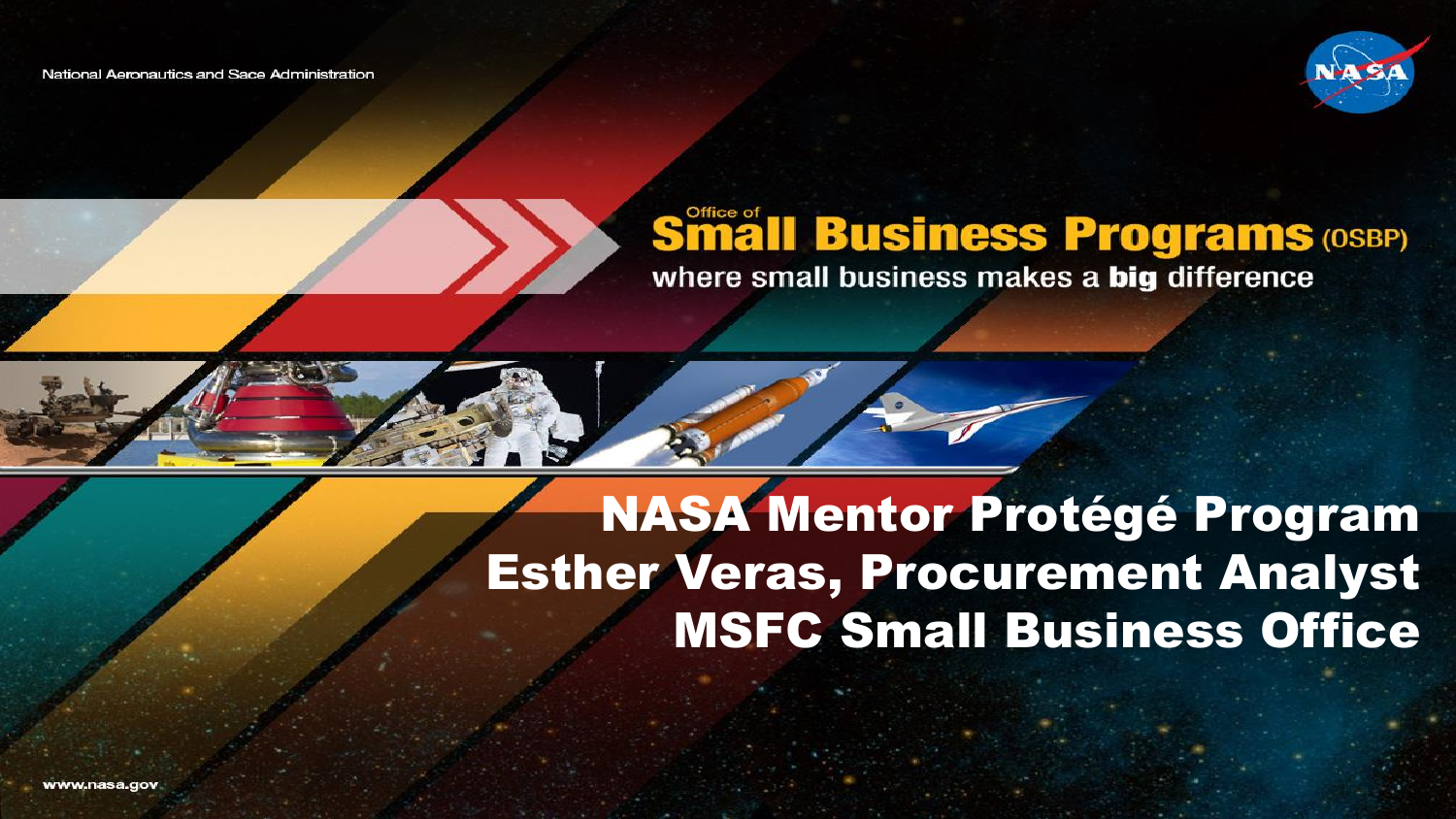National Aeronautics and Sace Administration



# **Småll Business Programs (OSBP)**



#### NASA Mentor Protégé Program Esther Veras, Procurement Analyst MSFC Small Business Office

www.nasa.dov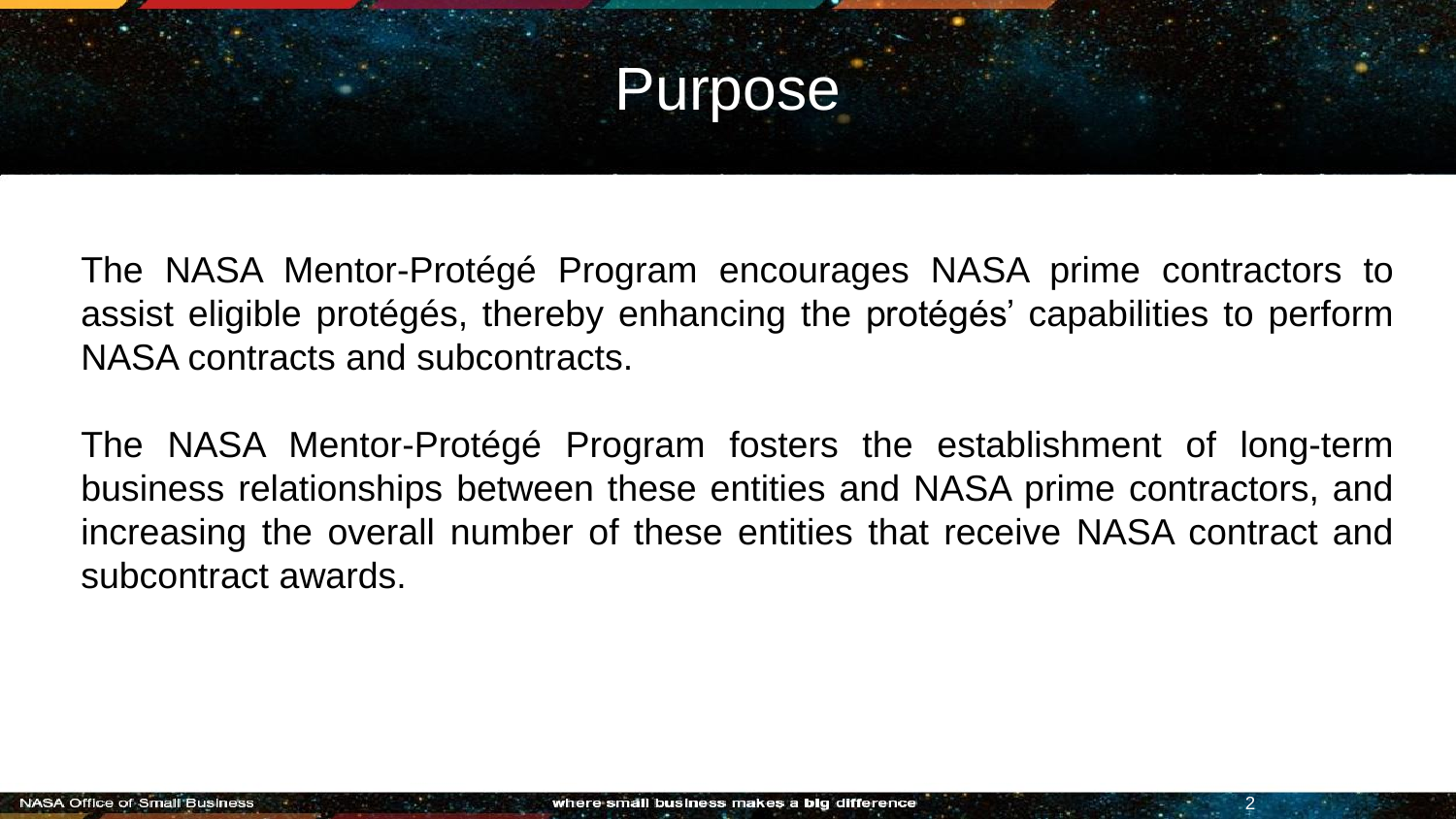#### Purpose

The NASA Mentor-Protégé Program encourages NASA prime contractors to assist eligible protégés, thereby enhancing the protégés' capabilities to perform NASA contracts and subcontracts.

The NASA Mentor-Protégé Program fosters the establishment of long-term business relationships between these entities and NASA prime contractors, and increasing the overall number of these entities that receive NASA contract and subcontract awards.

2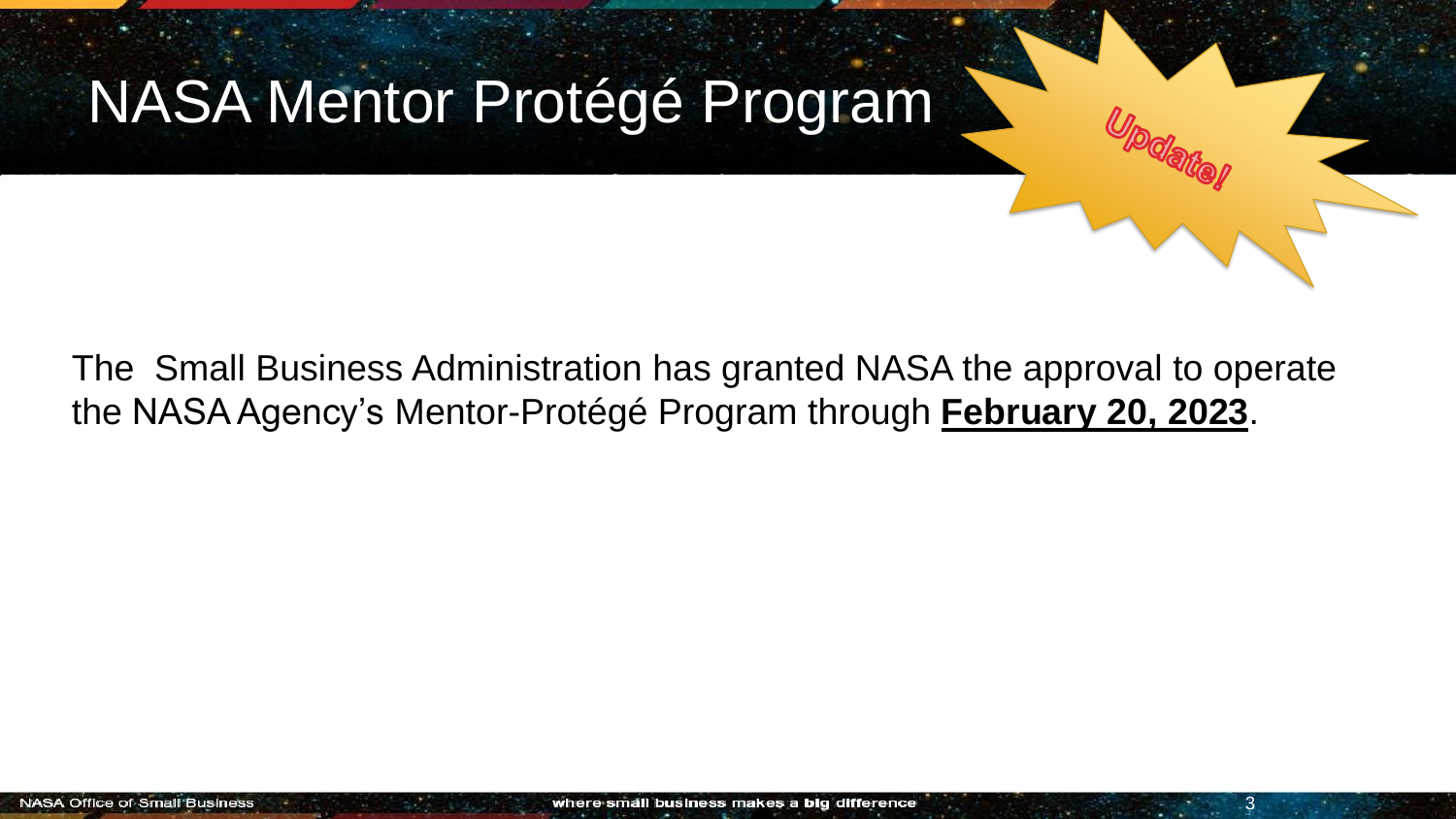

#### The Small Business Administration has granted NASA the approval to operate the NASA Agency's Mentor-Protégé Program through **February 20, 2023**.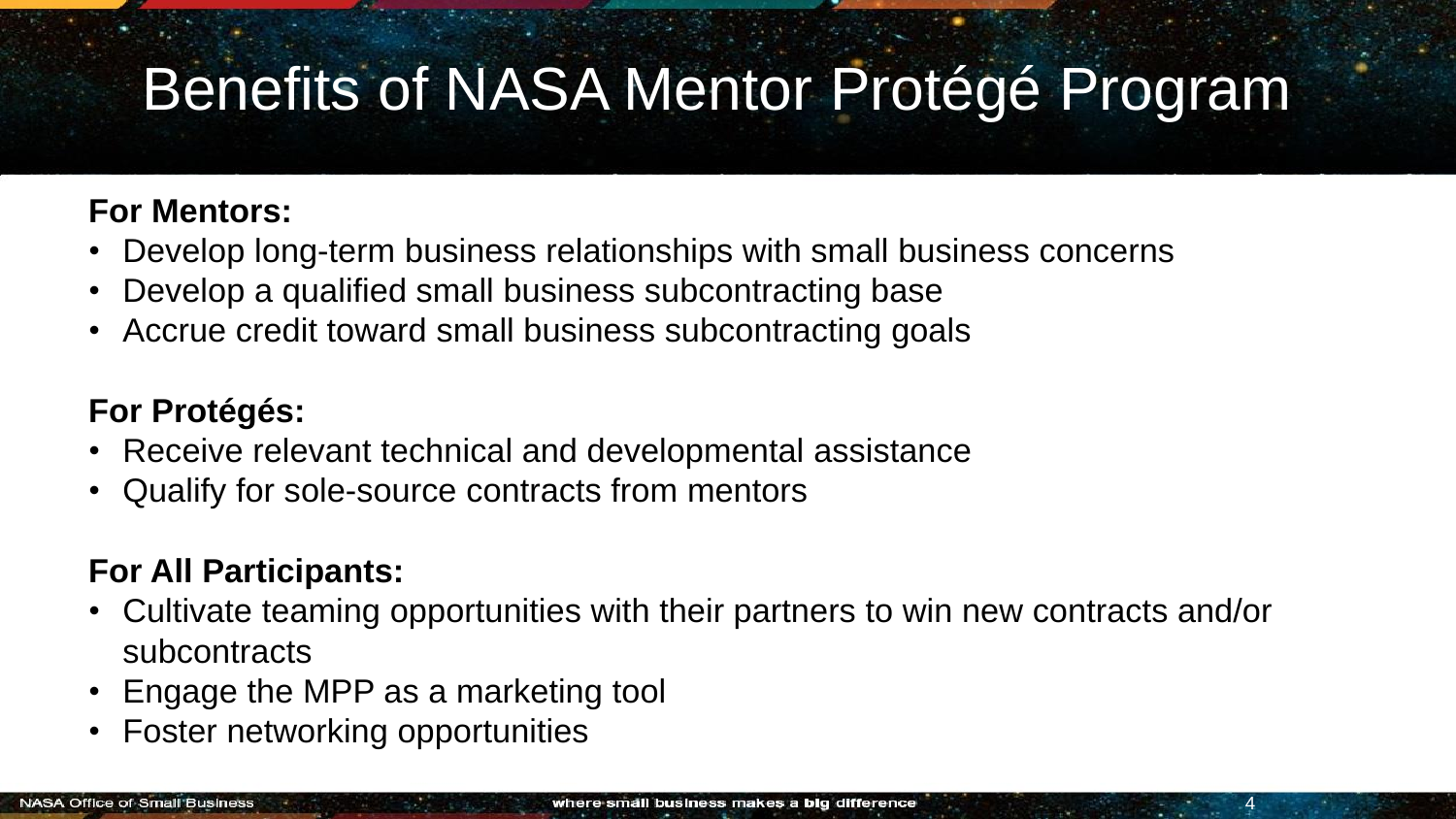## Benefits of NASA Mentor Protégé Program

#### **For Mentors:**

- Tracking opportunities<br>Track provident opportunities on the setting of the mail business concern • Develop long-term business relationships with small business concerns
- Develop a qualified small business subcontracting base
- Accrue credit toward small business subcontracting goals

#### **For Protégés:**

- Receive relevant technical and developmental assistance
- Qualify for sole-source contracts from mentors

#### **For All Participants:**

- Cultivate teaming opportunities with their partners to win new contracts and/or subcontracts
- Engage the MPP as a marketing tool
- Foster networking opportunities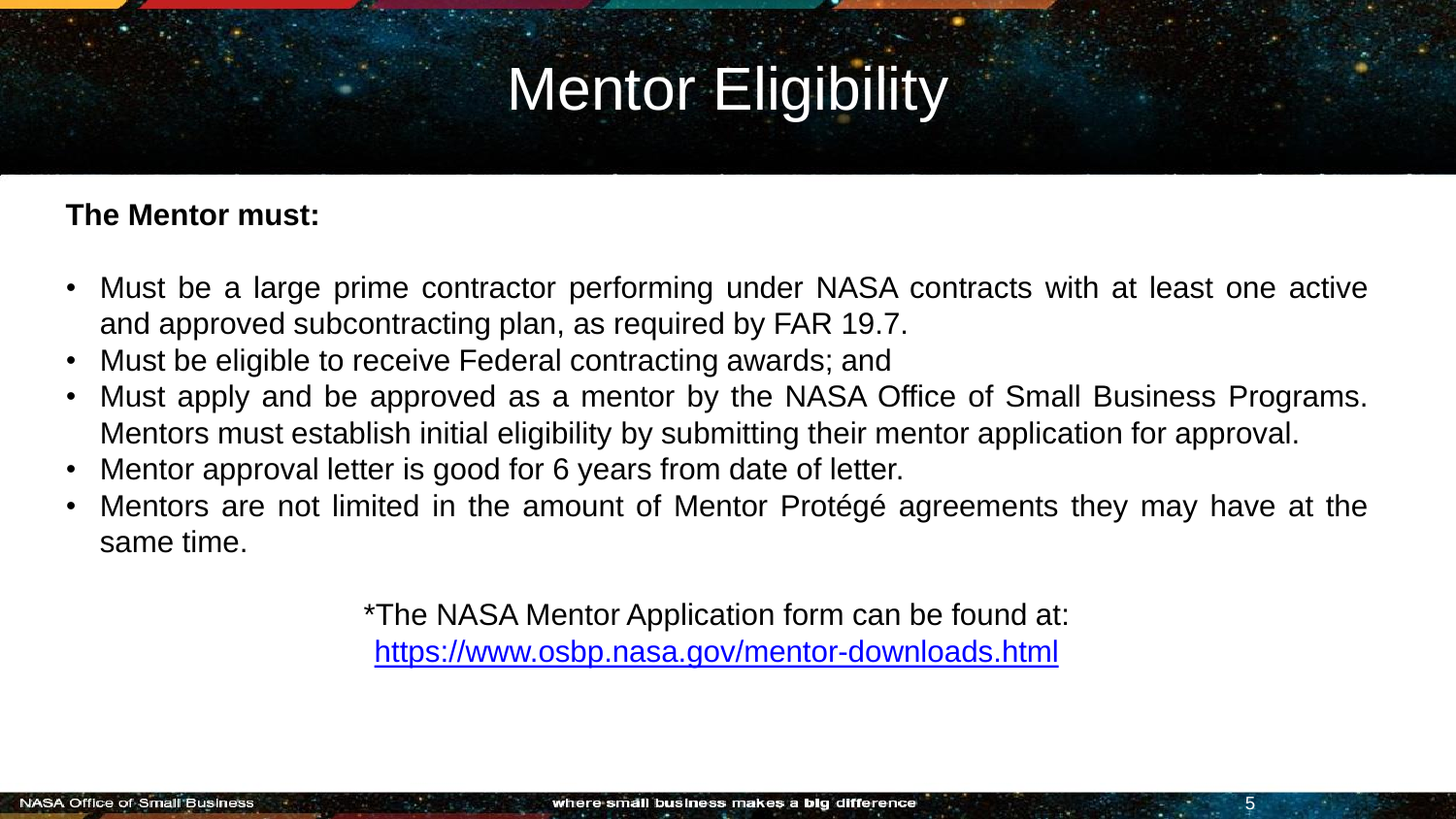## Mentor Eligibility

#### **The Mentor must:**

- Must be a large prime contractor performing under NASA contracts with at least one active and approved subcontracting plan, as required by FAR 19.7.
- Must be eligible to receive Federal contracting awards; and
- Must apply and be approved as a mentor by the NASA Office of Small Business Programs. Mentors must establish initial eligibility by submitting their mentor application for approval.
- Mentor approval letter is good for 6 years from date of letter.
- Mentors are not limited in the amount of Mentor Protégé agreements they may have at the same time.

\*The NASA Mentor Application form can be found at: <https://www.osbp.nasa.gov/mentor-downloads.html>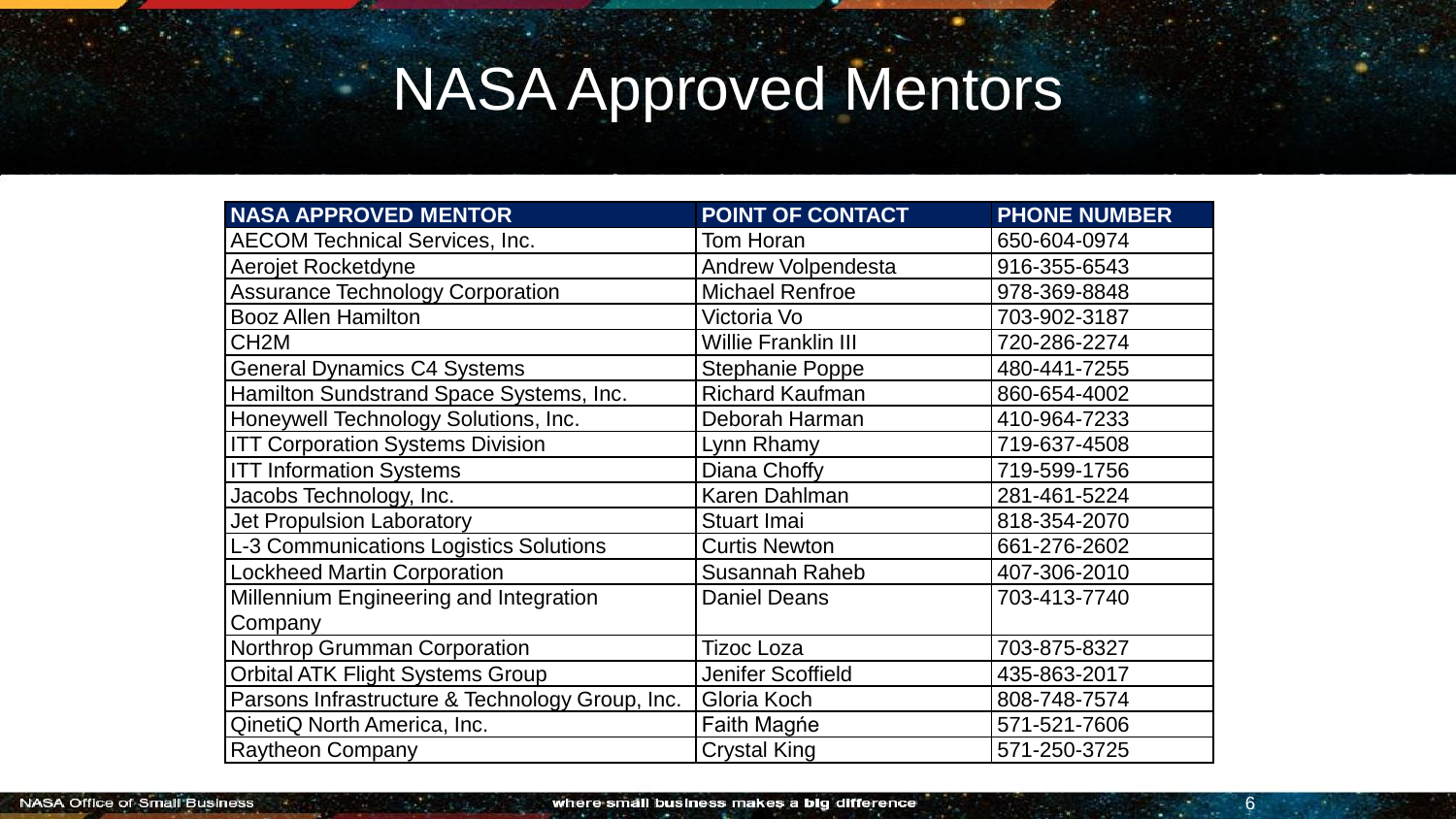## NASA Approved Mentors

| <b>NASA APPROVED MENTOR</b>                     | POINT OF CONTACT           | <b>PHONE NUMBER</b> |
|-------------------------------------------------|----------------------------|---------------------|
| <b>AECOM Technical Services, Inc.</b>           | Tom Horan                  | 650-604-0974        |
| Aerojet Rocketdyne                              | <b>Andrew Volpendesta</b>  | 916-355-6543        |
| <b>Assurance Technology Corporation</b>         | <b>Michael Renfroe</b>     | 978-369-8848        |
| <b>Booz Allen Hamilton</b>                      | Victoria Vo                | 703-902-3187        |
| CH <sub>2</sub> M                               | <b>Willie Franklin III</b> | 720-286-2274        |
| <b>General Dynamics C4 Systems</b>              | <b>Stephanie Poppe</b>     | 480-441-7255        |
| Hamilton Sundstrand Space Systems, Inc.         | <b>Richard Kaufman</b>     | 860-654-4002        |
| Honeywell Technology Solutions, Inc.            | Deborah Harman             | 410-964-7233        |
| <b>ITT Corporation Systems Division</b>         | Lynn Rhamy                 | 719-637-4508        |
| <b>ITT Information Systems</b>                  | Diana Choffy               | 719-599-1756        |
| Jacobs Technology, Inc.                         | <b>Karen Dahlman</b>       | 281-461-5224        |
| <b>Jet Propulsion Laboratory</b>                | <b>Stuart Imai</b>         | 818-354-2070        |
| <b>L-3 Communications Logistics Solutions</b>   | <b>Curtis Newton</b>       | 661-276-2602        |
| <b>Lockheed Martin Corporation</b>              | <b>Susannah Raheb</b>      | 407-306-2010        |
| Millennium Engineering and Integration          | <b>Daniel Deans</b>        | 703-413-7740        |
| Company                                         |                            |                     |
| Northrop Grumman Corporation                    | <b>Tizoc Loza</b>          | 703-875-8327        |
| <b>Orbital ATK Flight Systems Group</b>         | <b>Jenifer Scoffield</b>   | 435-863-2017        |
| Parsons Infrastructure & Technology Group, Inc. | Gloria Koch                | 808-748-7574        |
| QinetiQ North America, Inc.                     | <b>Faith Magne</b>         | 571-521-7606        |
| <b>Raytheon Company</b>                         | <b>Crystal King</b>        | 571-250-3725        |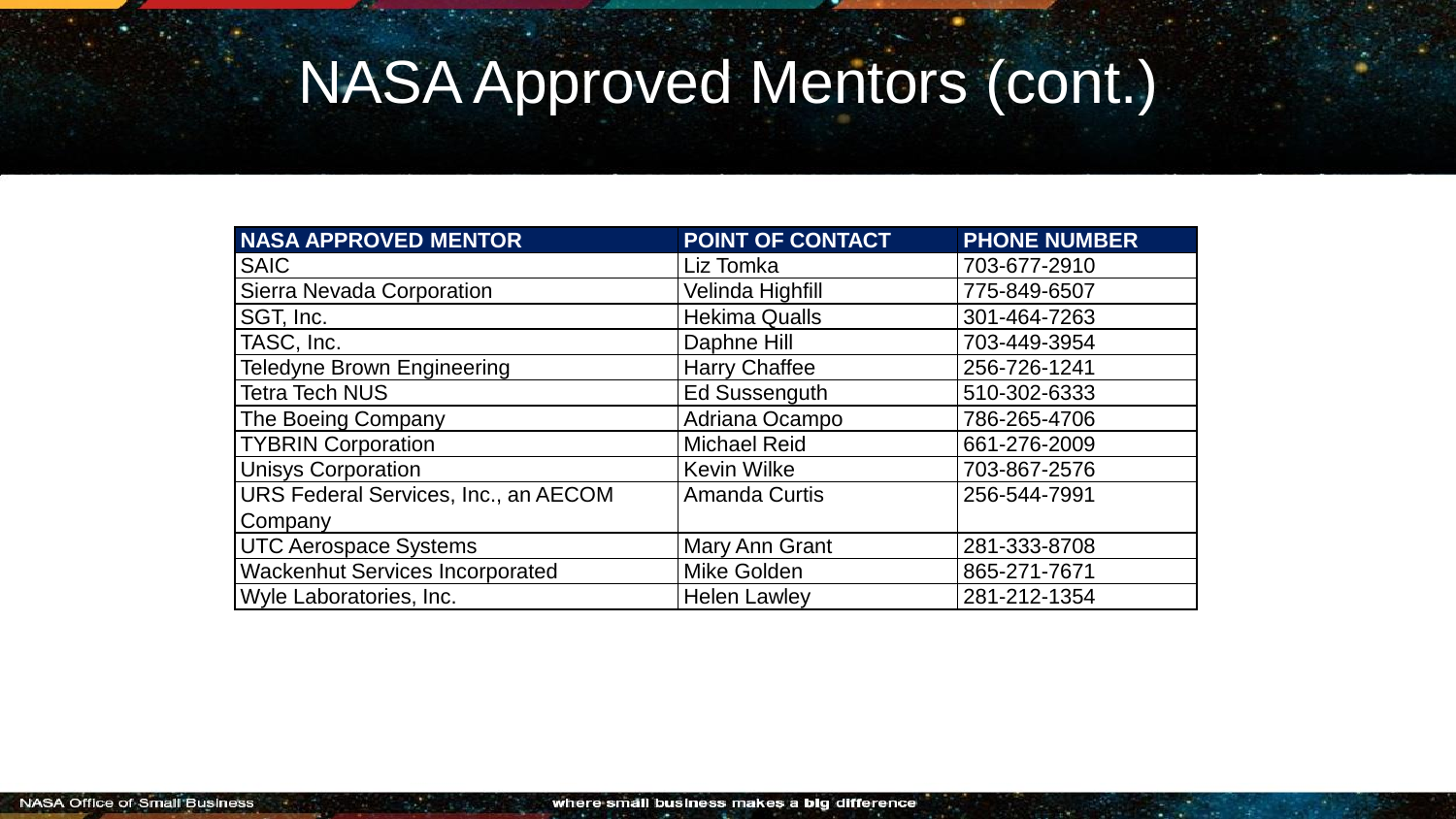## NASA Approved Mentors (cont.)

| <b>NASA APPROVED MENTOR</b>            | <b>POINT OF CONTACT</b> | <b>PHONE NUMBER</b> |
|----------------------------------------|-------------------------|---------------------|
| <b>SAIC</b>                            | Liz Tomka               | 703-677-2910        |
| Sierra Nevada Corporation              | Velinda Highfill        | 775-849-6507        |
| SGT, Inc.                              | <b>Hekima Qualls</b>    | 301-464-7263        |
| TASC, Inc.                             | Daphne Hill             | 703-449-3954        |
| <b>Teledyne Brown Engineering</b>      | <b>Harry Chaffee</b>    | 256-726-1241        |
| <b>Tetra Tech NUS</b>                  | <b>Ed Sussenguth</b>    | 510-302-6333        |
| The Boeing Company                     | Adriana Ocampo          | 786-265-4706        |
| <b>TYBRIN Corporation</b>              | <b>Michael Reid</b>     | 661-276-2009        |
| <b>Unisys Corporation</b>              | <b>Kevin Wilke</b>      | 703-867-2576        |
| URS Federal Services, Inc., an AECOM   | <b>Amanda Curtis</b>    | 256-544-7991        |
| Company                                |                         |                     |
| <b>UTC Aerospace Systems</b>           | Mary Ann Grant          | 281-333-8708        |
| <b>Wackenhut Services Incorporated</b> | <b>Mike Golden</b>      | 865-271-7671        |
| Wyle Laboratories, Inc.                | <b>Helen Lawley</b>     | 281-212-1354        |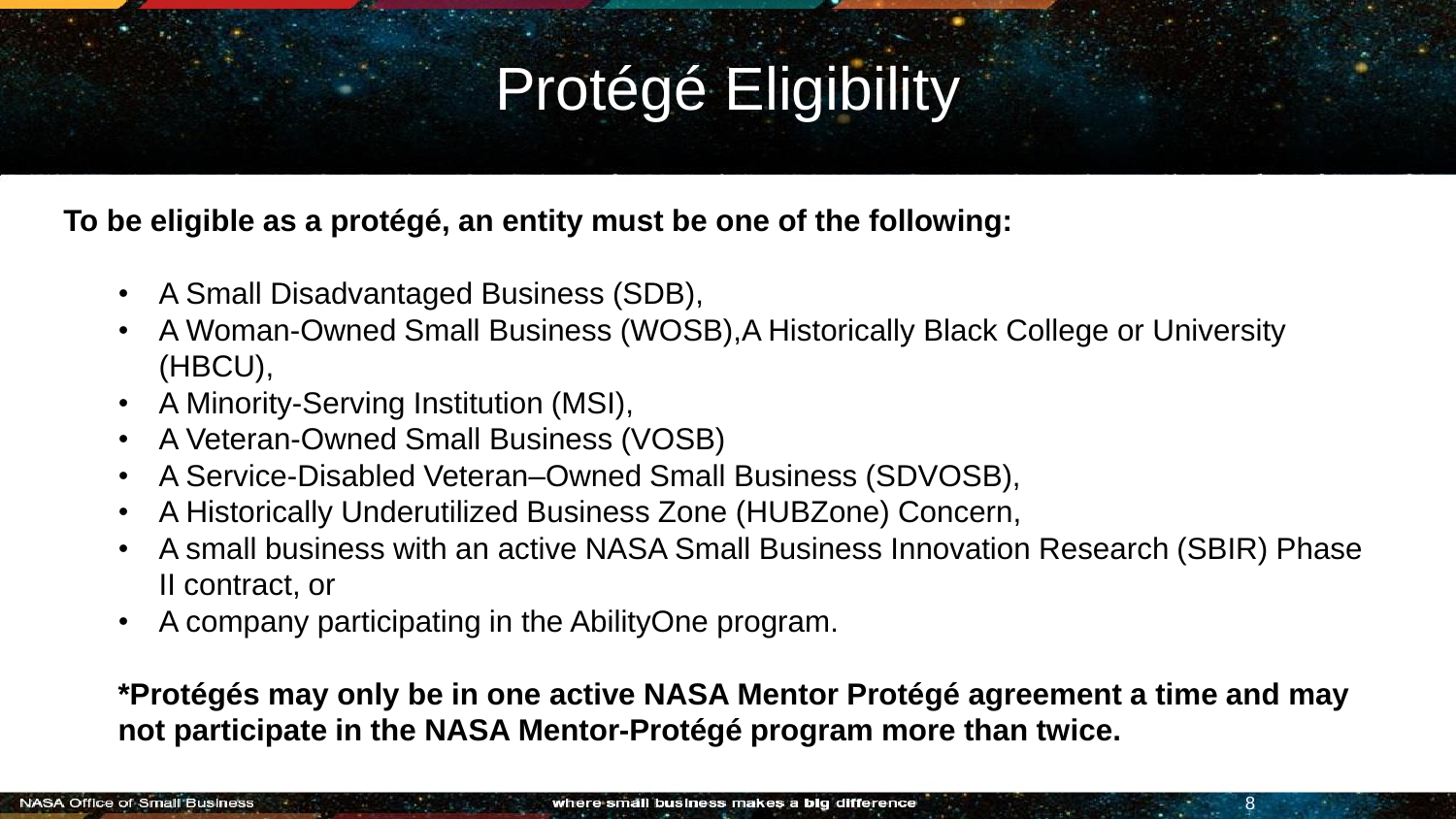# Protégé Eligibility

**To be eligible as a protégé, an entity must be one of the following:**

- A Small Disadvantaged Business (SDB),
- A Woman-Owned Small Business (WOSB),A Historically Black College or University (HBCU),
- A Minority-Serving Institution (MSI),
- A Veteran-Owned Small Business (VOSB)
- A Service-Disabled Veteran–Owned Small Business (SDVOSB),
- A Historically Underutilized Business Zone (HUBZone) Concern,
- A small business with an active NASA Small Business Innovation Research (SBIR) Phase II contract, or
- A company participating in the AbilityOne program.

**\*Protégés may only be in one active NASA Mentor Protégé agreement a time and may not participate in the NASA Mentor-Protégé program more than twice.** 

8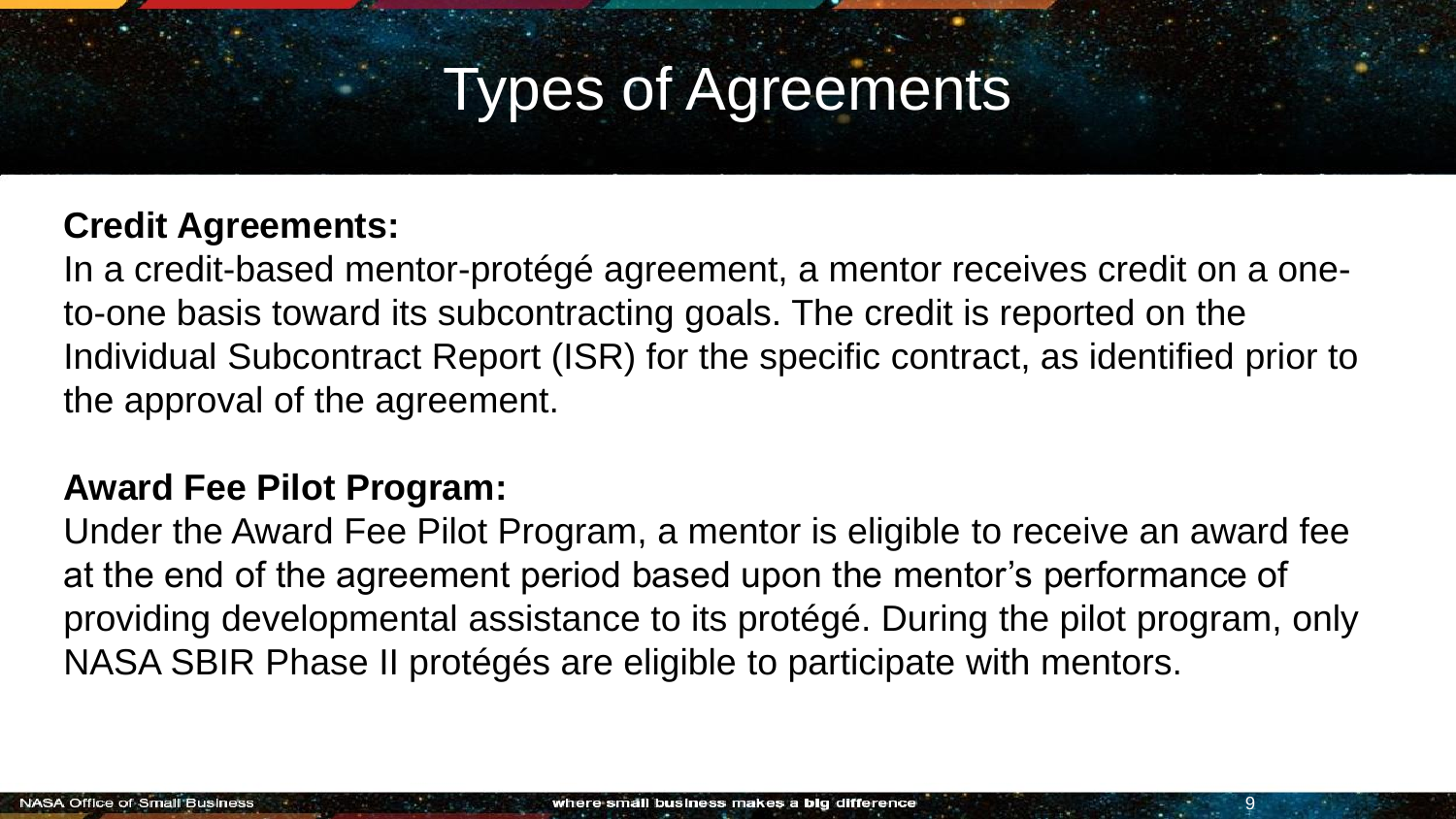### Types of Agreements

#### **Credit Agreements:**

In a credit-based mentor-protégé agreement, a mentor receives credit on a oneto-one basis toward its subcontracting goals. The credit is reported on the Individual Subcontract Report (ISR) for the specific contract, as identified prior to the approval of the agreement.

#### **Award Fee Pilot Program:**

Under the Award Fee Pilot Program, a mentor is eligible to receive an award fee at the end of the agreement period based upon the mentor's performance of providing developmental assistance to its protégé. During the pilot program, only NASA SBIR Phase II protégés are eligible to participate with mentors.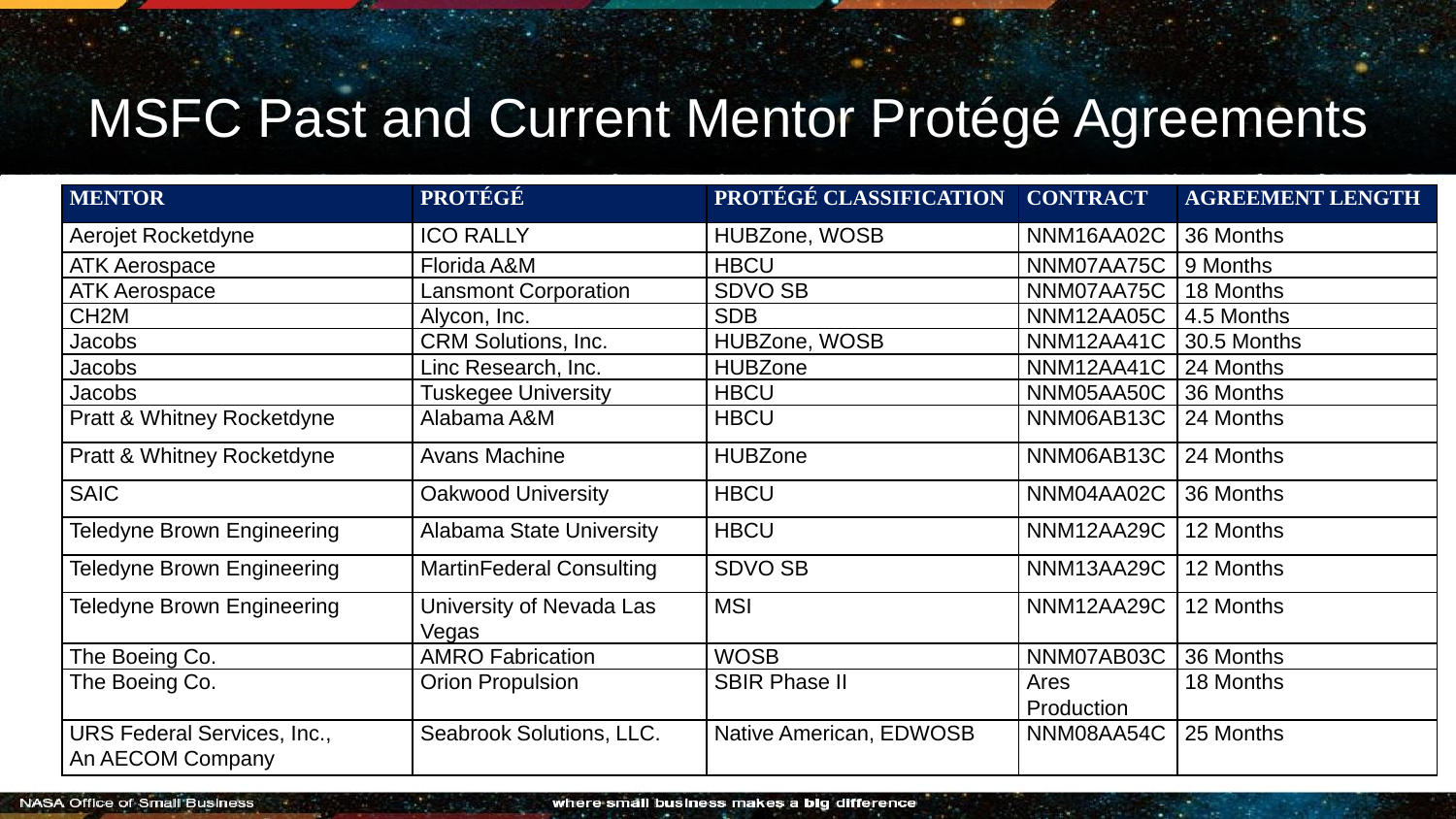#### MSFC Past and Current Mentor Protégé Agreements

| <b>MENTOR</b>                                          | <b>PROTÉGÉ</b>                    | PROTÉGÉ CLASSIFICATION  | <b>CONTRACT</b>    | <b>AGREEMENT LENGTH</b> |
|--------------------------------------------------------|-----------------------------------|-------------------------|--------------------|-------------------------|
| Aerojet Rocketdyne                                     | <b>ICO RALLY</b>                  | HUBZone, WOSB           | NNM16AA02C         | 36 Months               |
| <b>ATK Aerospace</b>                                   | Florida A&M                       | <b>HBCU</b>             | NNM07AA75C         | 9 Months                |
| <b>ATK Aerospace</b>                                   | <b>Lansmont Corporation</b>       | <b>SDVO SB</b>          | NNM07AA75C         | 18 Months               |
| CH <sub>2</sub> M                                      | Alycon, Inc.                      | <b>SDB</b>              | NNM12AA05C         | 4.5 Months              |
| Jacobs                                                 | <b>CRM Solutions, Inc.</b>        | HUBZone, WOSB           | NNM12AA41C         | 30.5 Months             |
| Jacobs                                                 | Linc Research, Inc.               | <b>HUBZone</b>          | NNM12AA41C         | 24 Months               |
| Jacobs                                                 | Tuskegee University               | <b>HBCU</b>             | NNM05AA50C         | 36 Months               |
| Pratt & Whitney Rocketdyne                             | Alabama A&M                       | <b>HBCU</b>             | NNM06AB13C         | 24 Months               |
| Pratt & Whitney Rocketdyne                             | <b>Avans Machine</b>              | <b>HUBZone</b>          | NNM06AB13C         | 24 Months               |
| <b>SAIC</b>                                            | <b>Oakwood University</b>         | <b>HBCU</b>             | NNM04AA02C         | 36 Months               |
| <b>Teledyne Brown Engineering</b>                      | <b>Alabama State University</b>   | <b>HBCU</b>             | NNM12AA29C         | 12 Months               |
| <b>Teledyne Brown Engineering</b>                      | <b>MartinFederal Consulting</b>   | <b>SDVO SB</b>          | NNM13AA29C         | 12 Months               |
| <b>Teledyne Brown Engineering</b>                      | University of Nevada Las<br>Vegas | <b>MSI</b>              | NNM12AA29C         | 12 Months               |
| The Boeing Co.                                         | <b>AMRO Fabrication</b>           | <b>WOSB</b>             | NNM07AB03C         | 36 Months               |
| The Boeing Co.                                         | <b>Orion Propulsion</b>           | <b>SBIR Phase II</b>    | Ares<br>Production | 18 Months               |
| <b>URS Federal Services, Inc.,</b><br>An AECOM Company | Seabrook Solutions, LLC.          | Native American, EDWOSB | NNM08AA54C         | 25 Months               |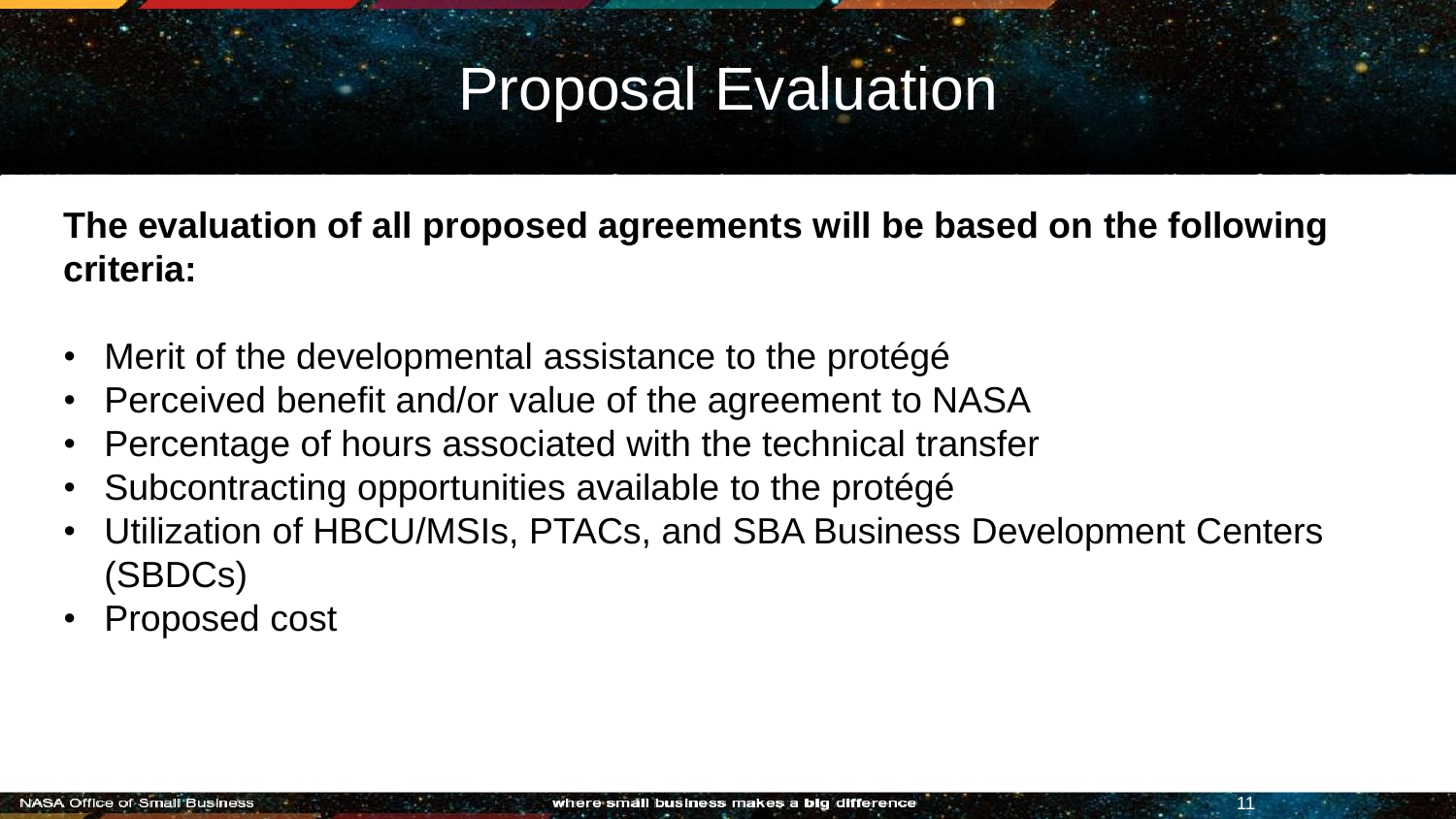## Proposal Evaluation

**The evaluation of all proposed agreements will be based on the following criteria:** 

- Merit of the developmental assistance to the protégé
- Perceived benefit and/or value of the agreement to NASA
- Percentage of hours associated with the technical transfer
- Subcontracting opportunities available to the protégé
- Utilization of HBCU/MSIs, PTACs, and SBA Business Development Centers (SBDCs)
- Proposed cost

11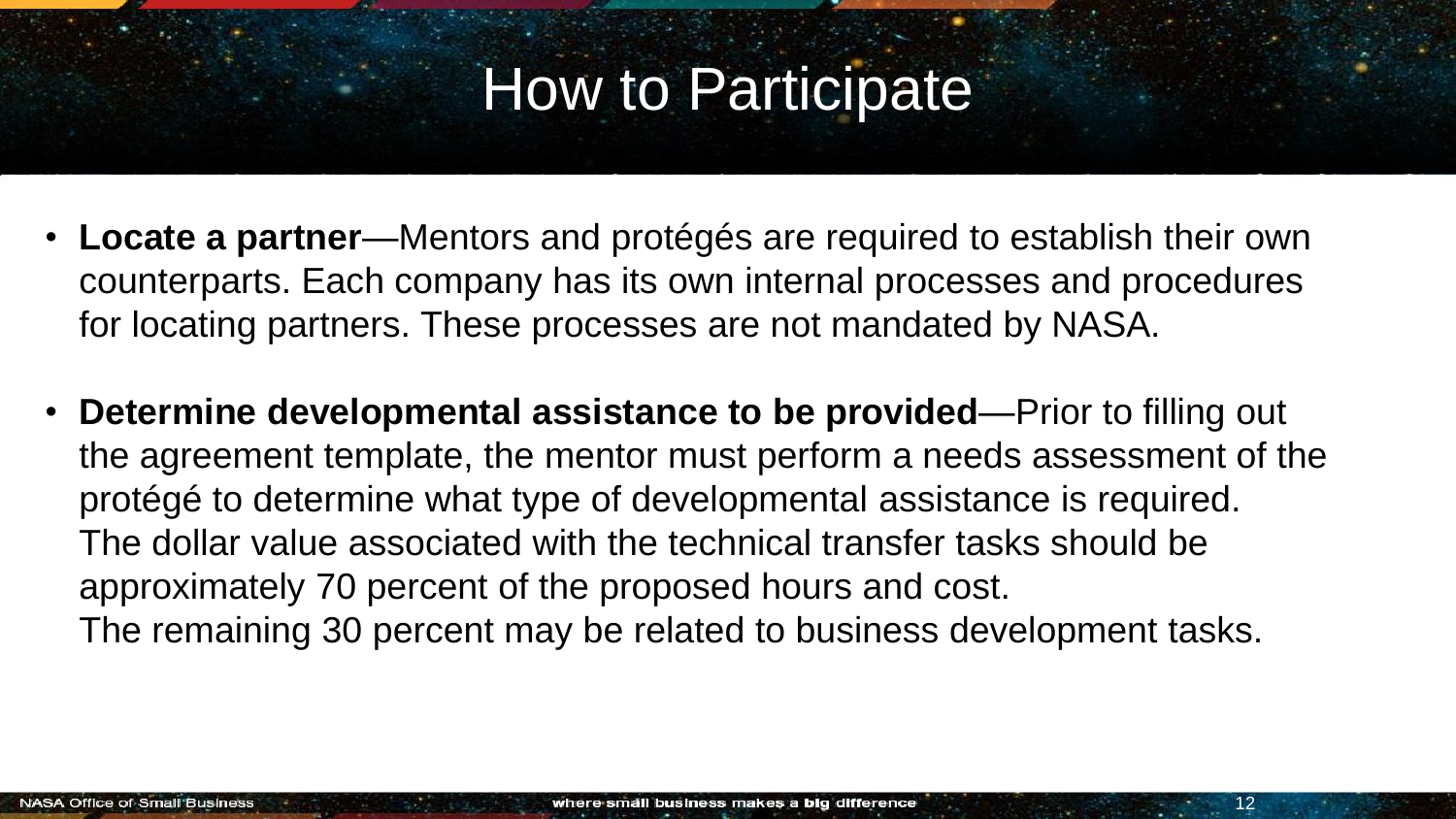#### How to Participate

- **Locate a partner**—Mentors and protégés are required to establish their own counterparts. Each company has its own internal processes and procedures for locating partners. These processes are not mandated by NASA.
- **Determine developmental assistance to be provided**—Prior to filling out the agreement template, the mentor must perform a needs assessment of the protégé to determine what type of developmental assistance is required. The dollar value associated with the technical transfer tasks should be approximately 70 percent of the proposed hours and cost. The remaining 30 percent may be related to business development tasks.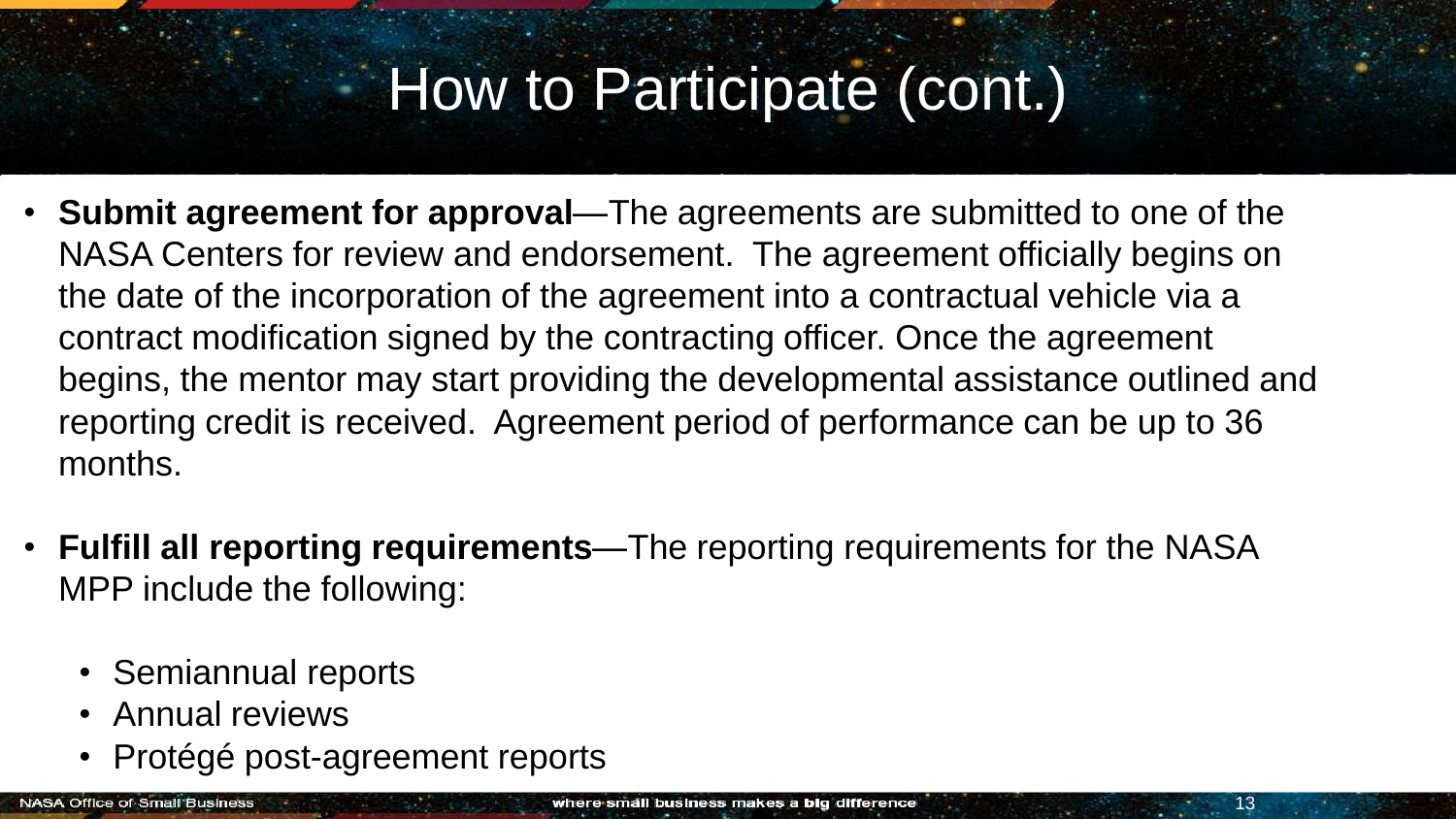## How to Participate (cont.)

- **Submit agreement for approval**—The agreements are submitted to one of the NASA Centers for review and endorsement. The agreement officially begins on the date of the incorporation of the agreement into a contractual vehicle via a contract modification signed by the contracting officer. Once the agreement begins, the mentor may start providing the developmental assistance outlined and reporting credit is received. Agreement period of performance can be up to 36 months.
- **Fulfill all reporting requirements**—The reporting requirements for the NASA MPP include the following:
	- Semiannual reports
	- Annual reviews
	- Protégé post-agreement reports